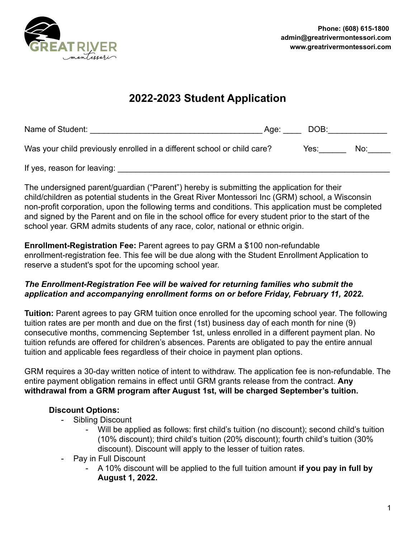

# **2022-2023 Student Application**

| Name of Student:                                                        | Age: The Age of the Age of the Age of the Age of the Age of the Age of the Age of the Age of the Age of the Ag | DOB: |     |
|-------------------------------------------------------------------------|----------------------------------------------------------------------------------------------------------------|------|-----|
| Was your child previously enrolled in a different school or child care? |                                                                                                                | Yes: | NO. |
| If yes, reason for leaving:                                             |                                                                                                                |      |     |

The undersigned parent/guardian ("Parent") hereby is submitting the application for their child/children as potential students in the Great River Montessori Inc (GRM) school, a Wisconsin non-profit corporation, upon the following terms and conditions. This application must be completed and signed by the Parent and on file in the school office for every student prior to the start of the school year. GRM admits students of any race, color, national or ethnic origin.

**Enrollment-Registration Fee:** Parent agrees to pay GRM a \$100 non-refundable enrollment-registration fee. This fee will be due along with the Student Enrollment Application to reserve a student's spot for the upcoming school year.

### *The Enrollment-Registration Fee will be waived for returning families who submit the application and accompanying enrollment forms on or before Friday, February 11, 2022.*

**Tuition:** Parent agrees to pay GRM tuition once enrolled for the upcoming school year. The following tuition rates are per month and due on the first (1st) business day of each month for nine (9) consecutive months, commencing September 1st, unless enrolled in a different payment plan. No tuition refunds are offered for children's absences. Parents are obligated to pay the entire annual tuition and applicable fees regardless of their choice in payment plan options.

GRM requires a 30-day written notice of intent to withdraw. The application fee is non-refundable. The entire payment obligation remains in effect until GRM grants release from the contract. **Any withdrawal from a GRM program after August 1st, will be charged September's tuition.**

## **Discount Options:**

- Sibling Discount
	- Will be applied as follows: first child's tuition (no discount); second child's tuition (10% discount); third child's tuition (20% discount); fourth child's tuition (30% discount). Discount will apply to the lesser of tuition rates.
- Pay in Full Discount
	- A 10% discount will be applied to the full tuition amount **if you pay in full by August 1, 2022.**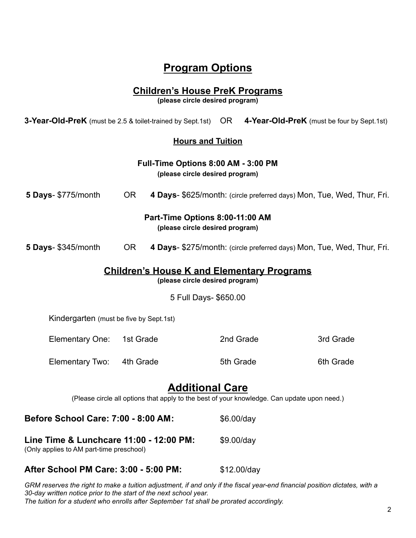# **Program Options**

### **Children's House PreK Programs**

**(please circle desired program)**

**3-Year-Old-PreK** (must be 2.5 & toilet-trained by Sept.1st) OR **4-Year-Old-PreK** (must be four by Sept.1st)

#### **Hours and Tuition**

|                                                                                     |           |            | Full-Time Options 8:00 AM - 3:00 PM<br>(please circle desired program)                                                |                                                                        |
|-------------------------------------------------------------------------------------|-----------|------------|-----------------------------------------------------------------------------------------------------------------------|------------------------------------------------------------------------|
| 5 Days- \$775/month                                                                 | OR.       |            |                                                                                                                       | 4 Days- \$625/month: (circle preferred days) Mon, Tue, Wed, Thur, Fri. |
|                                                                                     |           |            | Part-Time Options 8:00-11:00 AM<br>(please circle desired program)                                                    |                                                                        |
| <b>5 Days-</b> \$345/month                                                          | <b>OR</b> |            |                                                                                                                       | 4 Days- \$275/month: (circle preferred days) Mon, Tue, Wed, Thur, Fri. |
|                                                                                     |           |            | <b>Children's House K and Elementary Programs</b><br>(please circle desired program)                                  |                                                                        |
|                                                                                     |           |            | 5 Full Days- \$650.00                                                                                                 |                                                                        |
| Kindergarten (must be five by Sept.1st)                                             |           |            |                                                                                                                       |                                                                        |
| Elementary One:                                                                     | 1st Grade |            | 2nd Grade                                                                                                             | 3rd Grade                                                              |
| Elementary Two:                                                                     | 4th Grade |            | 5th Grade                                                                                                             | 6th Grade                                                              |
|                                                                                     |           |            | <b>Additional Care</b><br>(Please circle all options that apply to the best of your knowledge. Can update upon need.) |                                                                        |
| Before School Care: 7:00 - 8:00 AM:                                                 |           | \$6.00/day |                                                                                                                       |                                                                        |
| Line Time & Lunchcare 11:00 - 12:00 PM:<br>(Only applies to AM part-time preschool) |           | \$9.00/day |                                                                                                                       |                                                                        |

#### **After School PM Care: 3:00 - 5:00 PM:** \$12.00/day

GRM reserves the right to make a tuition adjustment, if and only if the fiscal year-end financial position dictates, with a *30-day written notice prior to the start of the next school year. The tuition for a student who enrolls after September 1st shall be prorated accordingly.*